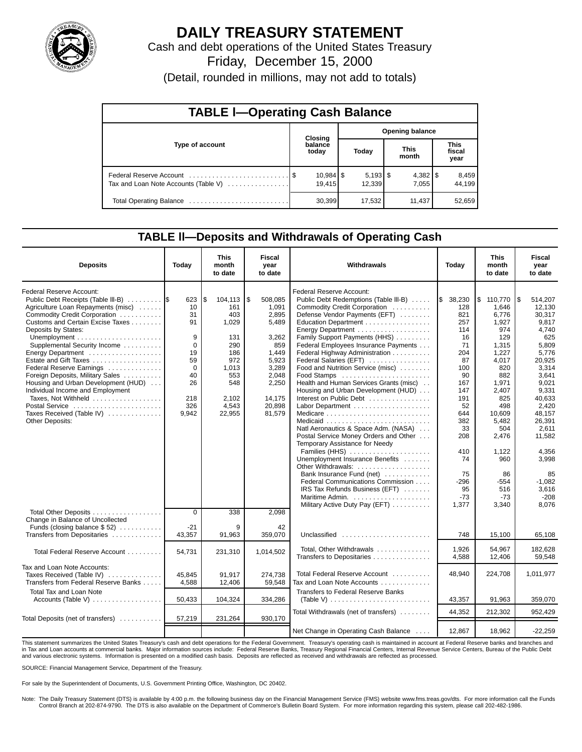

# **DAILY TREASURY STATEMENT**

Cash and debt operations of the United States Treasury Friday, December 15, 2000

(Detail, rounded in millions, may not add to totals)

| <b>TABLE I-Operating Cash Balance</b> |  |                       |  |                      |  |                        |  |                               |  |  |  |
|---------------------------------------|--|-----------------------|--|----------------------|--|------------------------|--|-------------------------------|--|--|--|
|                                       |  | Closing               |  |                      |  | <b>Opening balance</b> |  |                               |  |  |  |
| Type of account                       |  | balance<br>today      |  | Today                |  | <b>This</b><br>month   |  | <b>This</b><br>fiscal<br>year |  |  |  |
| Tax and Loan Note Accounts (Table V)  |  | $10,984$ \$<br>19.415 |  | $5,193$ \$<br>12.339 |  | 7.055                  |  | 8,459<br>44.199               |  |  |  |
|                                       |  | 30,399                |  | 17,532               |  | 11.437                 |  | 52,659                        |  |  |  |

#### **TABLE ll—Deposits and Withdrawals of Operating Cash**

| <b>Deposits</b>                                                                                                                                                                                                                                                                            | Today                                  | <b>This</b><br>month<br>to date                     | <b>Fiscal</b><br>year<br>to date                         | Withdrawals                                                                                                                                                                                                                         | Today                                            | <b>This</b><br>month<br>to date                                 | <b>Fiscal</b><br>year<br>to date                                     |
|--------------------------------------------------------------------------------------------------------------------------------------------------------------------------------------------------------------------------------------------------------------------------------------------|----------------------------------------|-----------------------------------------------------|----------------------------------------------------------|-------------------------------------------------------------------------------------------------------------------------------------------------------------------------------------------------------------------------------------|--------------------------------------------------|-----------------------------------------------------------------|----------------------------------------------------------------------|
| Federal Reserve Account:<br>Public Debt Receipts (Table III-B)<br>Agriculture Loan Repayments (misc)<br>Commodity Credit Corporation<br>Customs and Certain Excise Taxes<br>Deposits by States:<br>Unemployment $\dots\dots\dots\dots\dots\dots\dots\dots$<br>Supplemental Security Income | 623<br>10<br>31<br>91<br>9<br>$\Omega$ | ۱\$<br>104,113<br>161<br>403<br>1,029<br>131<br>290 | \$<br>508,085<br>1,091<br>2,895<br>5,489<br>3.262<br>859 | Federal Reserve Account:<br>Public Debt Redemptions (Table III-B)<br>Commodity Credit Corporation<br>Defense Vendor Payments (EFT)<br>Education Department<br>Family Support Payments (HHS)<br>Federal Employees Insurance Payments | \$38,230<br>128<br>821<br>257<br>114<br>16<br>71 | \$<br>110,770<br>1,646<br>6,776<br>1,927<br>974<br>129<br>1.315 | l\$<br>514,207<br>12,130<br>30,317<br>9,817<br>4.740<br>625<br>5.809 |
| Energy Department<br>Estate and Gift Taxes<br>Federal Reserve Earnings<br>Foreign Deposits, Military Sales<br>Housing and Urban Development (HUD)<br>Individual Income and Employment                                                                                                      | 19<br>59<br>$\Omega$<br>40<br>26       | 186<br>972<br>1.013<br>553<br>548                   | 1.449<br>5,923<br>3,289<br>2.048<br>2,250                | Federal Highway Administration<br>Federal Salaries (EFT)<br>Food and Nutrition Service (misc)<br>Food Stamps<br>Health and Human Services Grants (misc)<br>Housing and Urban Development (HUD)                                      | 204<br>87<br>100<br>90<br>167<br>147             | 1,227<br>4,017<br>820<br>882<br>1,971<br>2.407                  | 5.776<br>20,925<br>3,314<br>3.641<br>9,021<br>9.331                  |
| Taxes, Not Withheld<br>Postal Service<br>Taxes Received (Table IV)<br>Other Deposits:                                                                                                                                                                                                      | 218<br>326<br>9,942                    | 2,102<br>4,543<br>22,955                            | 14.175<br>20,898<br>81,579                               | Interest on Public Debt<br>Natl Aeronautics & Space Adm. (NASA)<br>Postal Service Money Orders and Other<br>Temporary Assistance for Needy                                                                                          | 191<br>52<br>644<br>382<br>33<br>208             | 825<br>498<br>10.609<br>5,482<br>504<br>2,476                   | 40,633<br>2,420<br>48,157<br>26,391<br>2.611<br>11,582               |
|                                                                                                                                                                                                                                                                                            |                                        |                                                     |                                                          | Families (HHS)<br>Unemployment Insurance Benefits<br>Other Withdrawals:<br>Bank Insurance Fund (net)<br>Federal Communications Commission<br>IRS Tax Refunds Business (EFT)                                                         | 410<br>74<br>75<br>$-296$<br>95<br>-73           | 1,122<br>960<br>86<br>-554<br>516<br>$-73$                      | 4,356<br>3,998<br>85<br>$-1,082$<br>3,616<br>$-208$<br>8.076         |
| Total Other Deposits<br>Change in Balance of Uncollected<br>Funds (closing balance $$52)$<br>Transfers from Depositaries                                                                                                                                                                   | $\Omega$<br>$-21$<br>43,357            | 338<br>9<br>91,963                                  | 2.098<br>42<br>359,070                                   | Military Active Duty Pay (EFT)<br>Unclassified $\ldots \ldots \ldots \ldots \ldots \ldots$                                                                                                                                          | 1,377<br>748                                     | 3,340<br>15,100                                                 | 65,108                                                               |
| Total Federal Reserve Account                                                                                                                                                                                                                                                              | 54,731                                 | 231,310                                             | 1,014,502                                                | Total, Other Withdrawals<br>Transfers to Depositaries                                                                                                                                                                               | 1.926<br>4,588                                   | 54.967<br>12,406                                                | 182.628<br>59.548                                                    |
| Tax and Loan Note Accounts:<br>Taxes Received (Table IV)<br>Transfers from Federal Reserve Banks                                                                                                                                                                                           | 45,845<br>4,588                        | 91,917<br>12,406                                    | 274,738<br>59,548                                        | Total Federal Reserve Account<br>Tax and Loan Note Accounts                                                                                                                                                                         | 48,940                                           | 224,708                                                         | 1,011,977                                                            |
| Total Tax and Loan Note<br>Accounts (Table V) $\dots \dots \dots \dots \dots$                                                                                                                                                                                                              | 50,433                                 | 104,324                                             | 334,286                                                  | <b>Transfers to Federal Reserve Banks</b><br>(Table V) $\ldots \ldots \ldots \ldots \ldots \ldots \ldots \ldots$                                                                                                                    | 43,357                                           | 91,963                                                          | 359,070                                                              |
| Total Deposits (net of transfers)                                                                                                                                                                                                                                                          | 57,219                                 | 231,264                                             | 930,170                                                  | Total Withdrawals (net of transfers)<br>Net Change in Operating Cash Balance                                                                                                                                                        | 44,352<br>12.867                                 | 212,302<br>18.962                                               | 952,429<br>$-22,259$                                                 |

This statement summarizes the United States Treasury's cash and debt operations for the Federal Government. Treasury's operating cash is maintained in account at Federal Reserve banks and branches and<br>in Tax and Loan accou and various electronic systems. Information is presented on a modified cash basis. Deposits are reflected as received and withdrawals are reflected as processed.

SOURCE: Financial Management Service, Department of the Treasury.

For sale by the Superintendent of Documents, U.S. Government Printing Office, Washington, DC 20402.

Note: The Daily Treasury Statement (DTS) is available by 4:00 p.m. the following business day on the Financial Management Service (FMS) website www.fms.treas.gov/dts. For more information call the Funds Control Branch at 202-874-9790. The DTS is also available on the Department of Commerce's Bulletin Board System. For more information regarding this system, please call 202-482-1986.